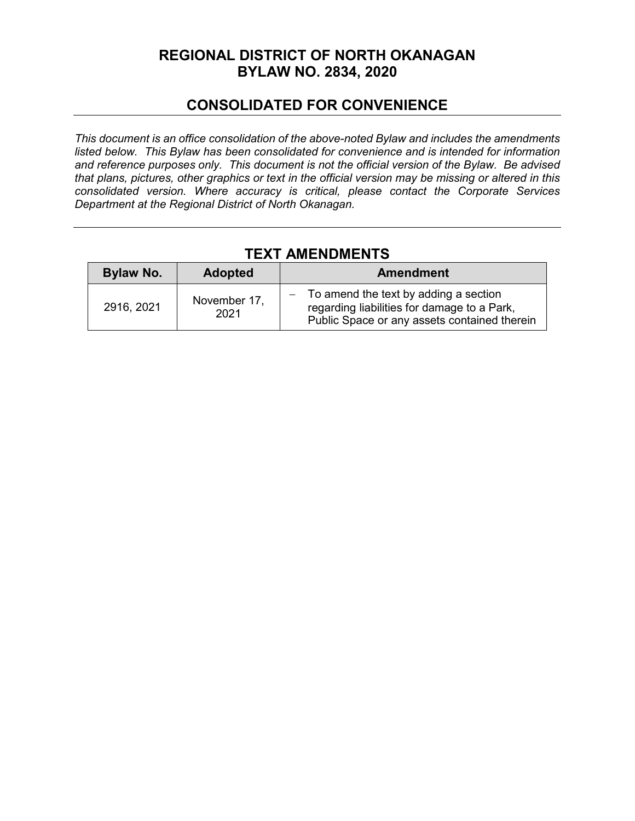# **REGIONAL DISTRICT OF NORTH OKANAGAN BYLAW NO. 2834, 2020**

## **CONSOLIDATED FOR CONVENIENCE**

*This document is an office consolidation of the above-noted Bylaw and includes the amendments listed below. This Bylaw has been consolidated for convenience and is intended for information and reference purposes only. This document is not the official version of the Bylaw. Be advised that plans, pictures, other graphics or text in the official version may be missing or altered in this consolidated version. Where accuracy is critical, please contact the Corporate Services Department at the Regional District of North Okanagan.* 

# **TEXT AMENDMENTS**

| <b>Bylaw No.</b> | <b>Adopted</b>       | <b>Amendment</b>                                                                                                                         |
|------------------|----------------------|------------------------------------------------------------------------------------------------------------------------------------------|
| 2916, 2021       | November 17,<br>2021 | $-$ To amend the text by adding a section<br>regarding liabilities for damage to a Park,<br>Public Space or any assets contained therein |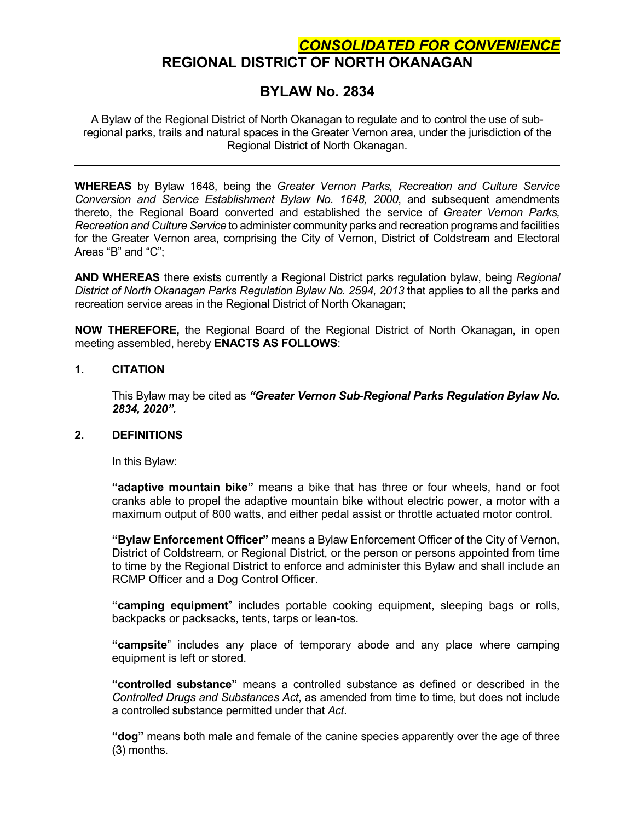## *CONSOLIDATED FOR CONVENIENCE* **REGIONAL DISTRICT OF NORTH OKANAGAN**

## **BYLAW No. 2834**

A Bylaw of the Regional District of North Okanagan to regulate and to control the use of subregional parks, trails and natural spaces in the Greater Vernon area, under the jurisdiction of the Regional District of North Okanagan.

**WHEREAS** by Bylaw 1648, being the *Greater Vernon Parks, Recreation and Culture Service Conversion and Service Establishment Bylaw No. 1648, 2000*, and subsequent amendments thereto, the Regional Board converted and established the service of *Greater Vernon Parks, Recreation and Culture Service* to administer community parks and recreation programs and facilities for the Greater Vernon area, comprising the City of Vernon, District of Coldstream and Electoral Areas "B" and "C";

**AND WHEREAS** there exists currently a Regional District parks regulation bylaw, being *Regional District of North Okanagan Parks Regulation Bylaw No. 2594, 2013* that applies to all the parks and recreation service areas in the Regional District of North Okanagan;

**NOW THEREFORE,** the Regional Board of the Regional District of North Okanagan, in open meeting assembled, hereby **ENACTS AS FOLLOWS**:

#### **1. CITATION**

This Bylaw may be cited as *"Greater Vernon Sub-Regional Parks Regulation Bylaw No. 2834, 2020".*

## **2. DEFINITIONS**

In this Bylaw:

**"adaptive mountain bike"** means a bike that has three or four wheels, hand or foot cranks able to propel the adaptive mountain bike without electric power, a motor with a maximum output of 800 watts, and either pedal assist or throttle actuated motor control.

**"Bylaw Enforcement Officer"** means a Bylaw Enforcement Officer of the City of Vernon, District of Coldstream, or Regional District, or the person or persons appointed from time to time by the Regional District to enforce and administer this Bylaw and shall include an RCMP Officer and a Dog Control Officer.

**"camping equipment**" includes portable cooking equipment, sleeping bags or rolls, backpacks or packsacks, tents, tarps or lean-tos.

**"campsite**" includes any place of temporary abode and any place where camping equipment is left or stored.

**"controlled substance"** means a controlled substance as defined or described in the *Controlled Drugs and Substances Act*, as amended from time to time, but does not include a controlled substance permitted under that *Act*.

**"dog"** means both male and female of the canine species apparently over the age of three (3) months.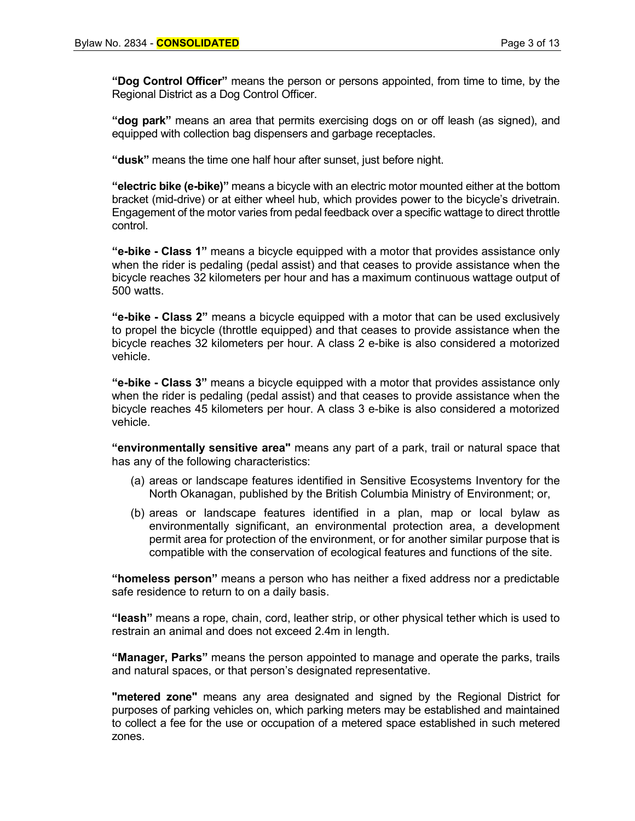**"Dog Control Officer"** means the person or persons appointed, from time to time, by the Regional District as a Dog Control Officer.

**"dog park"** means an area that permits exercising dogs on or off leash (as signed), and equipped with collection bag dispensers and garbage receptacles.

**"dusk"** means the time one half hour after sunset, just before night.

**"electric bike (e-bike)"** means a bicycle with an electric motor mounted either at the bottom bracket (mid-drive) or at either wheel hub, which provides power to the bicycle's drivetrain. Engagement of the motor varies from pedal feedback over a specific wattage to direct throttle control.

**"e-bike - Class 1"** means a bicycle equipped with a motor that provides assistance only when the rider is pedaling (pedal assist) and that ceases to provide assistance when the bicycle reaches 32 kilometers per hour and has a maximum continuous wattage output of 500 watts.

**"e-bike - Class 2"** means a bicycle equipped with a motor that can be used exclusively to propel the bicycle (throttle equipped) and that ceases to provide assistance when the bicycle reaches 32 kilometers per hour. A class 2 e-bike is also considered a motorized vehicle.

**"e-bike - Class 3"** means a bicycle equipped with a motor that provides assistance only when the rider is pedaling (pedal assist) and that ceases to provide assistance when the bicycle reaches 45 kilometers per hour. A class 3 e-bike is also considered a motorized vehicle.

**"environmentally sensitive area"** means any part of a park, trail or natural space that has any of the following characteristics:

- (a) areas or landscape features identified in Sensitive Ecosystems Inventory for the North Okanagan, published by the British Columbia Ministry of Environment; or,
- (b) areas or landscape features identified in a plan, map or local bylaw as environmentally significant, an environmental protection area, a development permit area for protection of the environment, or for another similar purpose that is compatible with the conservation of ecological features and functions of the site.

**"homeless person"** means a person who has neither a fixed address nor a predictable safe residence to return to on a daily basis.

**"leash"** means a rope, chain, cord, leather strip, or other physical tether which is used to restrain an animal and does not exceed 2.4m in length.

**"Manager, Parks"** means the person appointed to manage and operate the parks, trails and natural spaces, or that person's designated representative.

**"metered zone"** means any area designated and signed by the Regional District for purposes of parking vehicles on, which parking meters may be established and maintained to collect a fee for the use or occupation of a metered space established in such metered zones.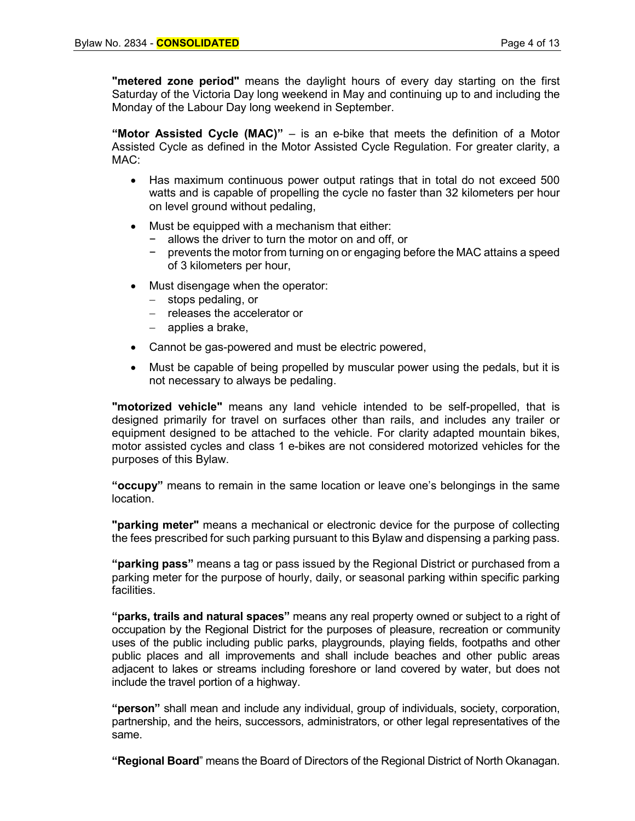**"metered zone period"** means the daylight hours of every day starting on the first Saturday of the Victoria Day long weekend in May and continuing up to and including the Monday of the Labour Day long weekend in September.

**"Motor Assisted Cycle (MAC)"** – is an e-bike that meets the definition of a Motor Assisted Cycle as defined in the Motor Assisted Cycle Regulation. For greater clarity, a MAC:

- Has maximum continuous power output ratings that in total do not exceed 500 watts and is capable of propelling the cycle no faster than 32 kilometers per hour on level ground without pedaling,
- Must be equipped with a mechanism that either:
	- allows the driver to turn the motor on and off, or
	- − prevents the motor from turning on or engaging before the MAC attains a speed of 3 kilometers per hour,
- Must disengage when the operator:
	- − stops pedaling, or
	- − releases the accelerator or
	- − applies a brake,
- Cannot be gas-powered and must be electric powered,
- Must be capable of being propelled by muscular power using the pedals, but it is not necessary to always be pedaling.

**"motorized vehicle"** means any land vehicle intended to be self-propelled, that is designed primarily for travel on surfaces other than rails, and includes any trailer or equipment designed to be attached to the vehicle. For clarity adapted mountain bikes, motor assisted cycles and class 1 e-bikes are not considered motorized vehicles for the purposes of this Bylaw.

**"occupy"** means to remain in the same location or leave one's belongings in the same location.

**"parking meter"** means a mechanical or electronic device for the purpose of collecting the fees prescribed for such parking pursuant to this Bylaw and dispensing a parking pass.

**"parking pass"** means a tag or pass issued by the Regional District or purchased from a parking meter for the purpose of hourly, daily, or seasonal parking within specific parking facilities.

**"parks, trails and natural spaces"** means any real property owned or subject to a right of occupation by the Regional District for the purposes of pleasure, recreation or community uses of the public including public parks, playgrounds, playing fields, footpaths and other public places and all improvements and shall include beaches and other public areas adjacent to lakes or streams including foreshore or land covered by water, but does not include the travel portion of a highway.

**"person"** shall mean and include any individual, group of individuals, society, corporation, partnership, and the heirs, successors, administrators, or other legal representatives of the same.

**"Regional Board**" means the Board of Directors of the Regional District of North Okanagan.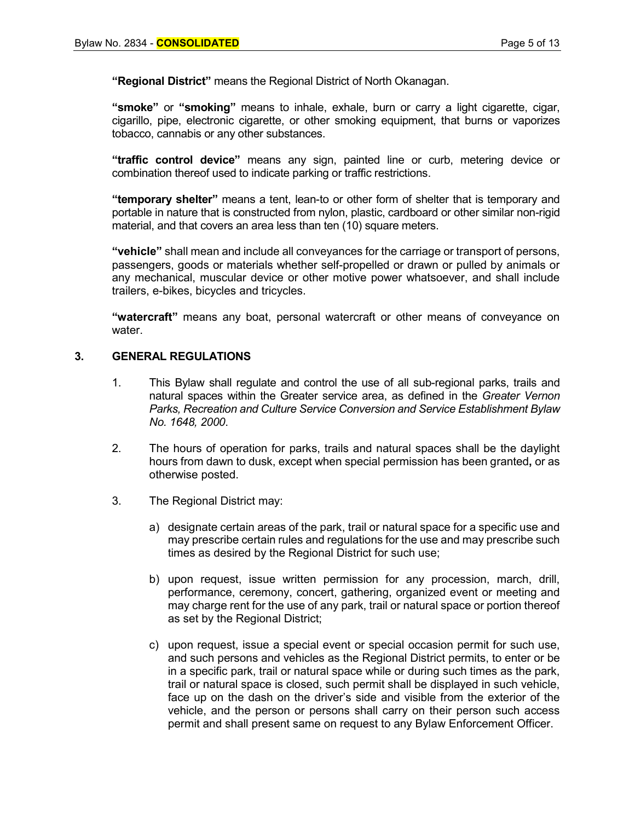**"Regional District"** means the Regional District of North Okanagan.

**"smoke"** or **"smoking"** means to inhale, exhale, burn or carry a light cigarette, cigar, cigarillo, pipe, electronic cigarette, or other smoking equipment, that burns or vaporizes tobacco, cannabis or any other substances.

**"traffic control device"** means any sign, painted line or curb, metering device or combination thereof used to indicate parking or traffic restrictions.

**"temporary shelter"** means a tent, lean-to or other form of shelter that is temporary and portable in nature that is constructed from nylon, plastic, cardboard or other similar non-rigid material, and that covers an area less than ten (10) square meters.

**"vehicle"** shall mean and include all conveyances for the carriage or transport of persons, passengers, goods or materials whether self-propelled or drawn or pulled by animals or any mechanical, muscular device or other motive power whatsoever, and shall include trailers, e-bikes, bicycles and tricycles.

**"watercraft"** means any boat, personal watercraft or other means of conveyance on water.

#### **3. GENERAL REGULATIONS**

- 1. This Bylaw shall regulate and control the use of all sub-regional parks, trails and natural spaces within the Greater service area, as defined in the *Greater Vernon Parks, Recreation and Culture Service Conversion and Service Establishment Bylaw No. 1648, 2000*.
- 2. The hours of operation for parks, trails and natural spaces shall be the daylight hours from dawn to dusk, except when special permission has been granted**,** or as otherwise posted.
- 3. The Regional District may:
	- a) designate certain areas of the park, trail or natural space for a specific use and may prescribe certain rules and regulations for the use and may prescribe such times as desired by the Regional District for such use;
	- b) upon request, issue written permission for any procession, march, drill, performance, ceremony, concert, gathering, organized event or meeting and may charge rent for the use of any park, trail or natural space or portion thereof as set by the Regional District;
	- c) upon request, issue a special event or special occasion permit for such use, and such persons and vehicles as the Regional District permits, to enter or be in a specific park, trail or natural space while or during such times as the park, trail or natural space is closed, such permit shall be displayed in such vehicle, face up on the dash on the driver's side and visible from the exterior of the vehicle, and the person or persons shall carry on their person such access permit and shall present same on request to any Bylaw Enforcement Officer.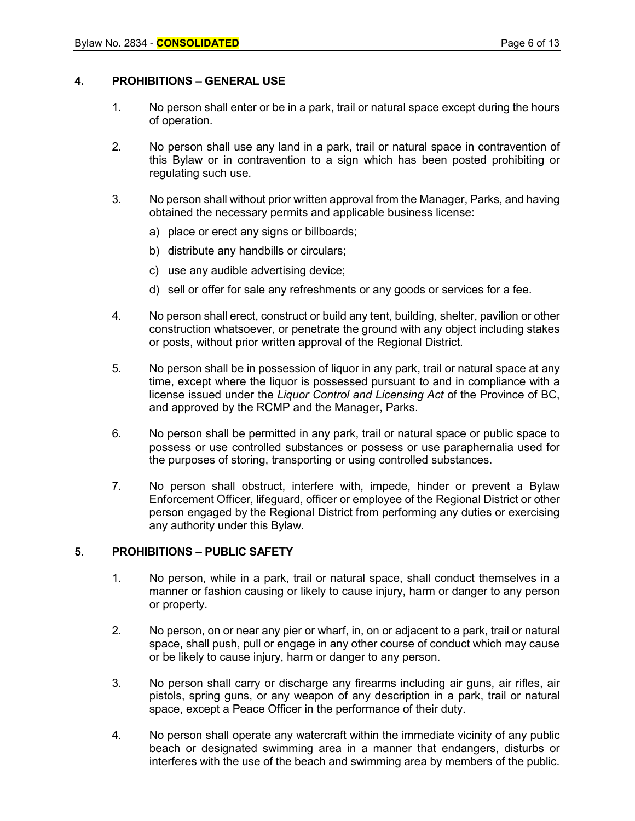## **4. PROHIBITIONS – GENERAL USE**

- 1. No person shall enter or be in a park, trail or natural space except during the hours of operation.
- 2. No person shall use any land in a park, trail or natural space in contravention of this Bylaw or in contravention to a sign which has been posted prohibiting or regulating such use.
- 3. No person shall without prior written approval from the Manager, Parks, and having obtained the necessary permits and applicable business license:
	- a) place or erect any signs or billboards;
	- b) distribute any handbills or circulars;
	- c) use any audible advertising device;
	- d) sell or offer for sale any refreshments or any goods or services for a fee.
- 4. No person shall erect, construct or build any tent, building, shelter, pavilion or other construction whatsoever, or penetrate the ground with any object including stakes or posts, without prior written approval of the Regional District.
- 5. No person shall be in possession of liquor in any park, trail or natural space at any time, except where the liquor is possessed pursuant to and in compliance with a license issued under the *Liquor Control and Licensing Act* of the Province of BC, and approved by the RCMP and the Manager, Parks.
- 6. No person shall be permitted in any park, trail or natural space or public space to possess or use controlled substances or possess or use paraphernalia used for the purposes of storing, transporting or using controlled substances.
- 7. No person shall obstruct, interfere with, impede, hinder or prevent a Bylaw Enforcement Officer, lifeguard, officer or employee of the Regional District or other person engaged by the Regional District from performing any duties or exercising any authority under this Bylaw.

#### **5. PROHIBITIONS – PUBLIC SAFETY**

- 1. No person, while in a park, trail or natural space, shall conduct themselves in a manner or fashion causing or likely to cause injury, harm or danger to any person or property.
- 2. No person, on or near any pier or wharf, in, on or adjacent to a park, trail or natural space, shall push, pull or engage in any other course of conduct which may cause or be likely to cause injury, harm or danger to any person.
- 3. No person shall carry or discharge any firearms including air guns, air rifles, air pistols, spring guns, or any weapon of any description in a park, trail or natural space, except a Peace Officer in the performance of their duty.
- 4. No person shall operate any watercraft within the immediate vicinity of any public beach or designated swimming area in a manner that endangers, disturbs or interferes with the use of the beach and swimming area by members of the public.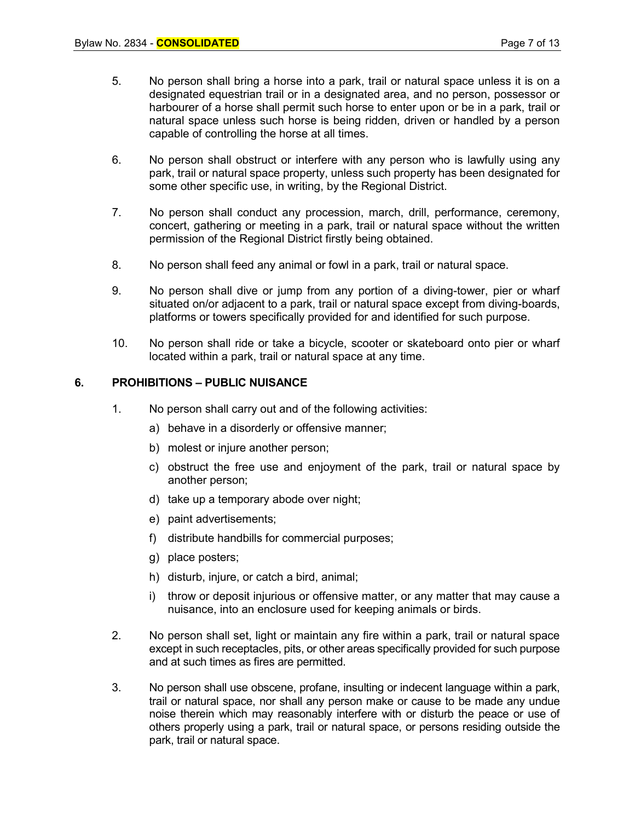- 5. No person shall bring a horse into a park, trail or natural space unless it is on a designated equestrian trail or in a designated area, and no person, possessor or harbourer of a horse shall permit such horse to enter upon or be in a park, trail or natural space unless such horse is being ridden, driven or handled by a person capable of controlling the horse at all times.
- 6. No person shall obstruct or interfere with any person who is lawfully using any park, trail or natural space property, unless such property has been designated for some other specific use, in writing, by the Regional District.
- 7. No person shall conduct any procession, march, drill, performance, ceremony, concert, gathering or meeting in a park, trail or natural space without the written permission of the Regional District firstly being obtained.
- 8. No person shall feed any animal or fowl in a park, trail or natural space.
- 9. No person shall dive or jump from any portion of a diving-tower, pier or wharf situated on/or adjacent to a park, trail or natural space except from diving-boards, platforms or towers specifically provided for and identified for such purpose.
- 10. No person shall ride or take a bicycle, scooter or skateboard onto pier or wharf located within a park, trail or natural space at any time.

#### **6. PROHIBITIONS – PUBLIC NUISANCE**

- 1. No person shall carry out and of the following activities:
	- a) behave in a disorderly or offensive manner;
	- b) molest or injure another person;
	- c) obstruct the free use and enjoyment of the park, trail or natural space by another person;
	- d) take up a temporary abode over night;
	- e) paint advertisements;
	- f) distribute handbills for commercial purposes;
	- g) place posters;
	- h) disturb, injure, or catch a bird, animal;
	- i) throw or deposit injurious or offensive matter, or any matter that may cause a nuisance, into an enclosure used for keeping animals or birds.
- 2. No person shall set, light or maintain any fire within a park, trail or natural space except in such receptacles, pits, or other areas specifically provided for such purpose and at such times as fires are permitted.
- 3. No person shall use obscene, profane, insulting or indecent language within a park, trail or natural space, nor shall any person make or cause to be made any undue noise therein which may reasonably interfere with or disturb the peace or use of others properly using a park, trail or natural space, or persons residing outside the park, trail or natural space.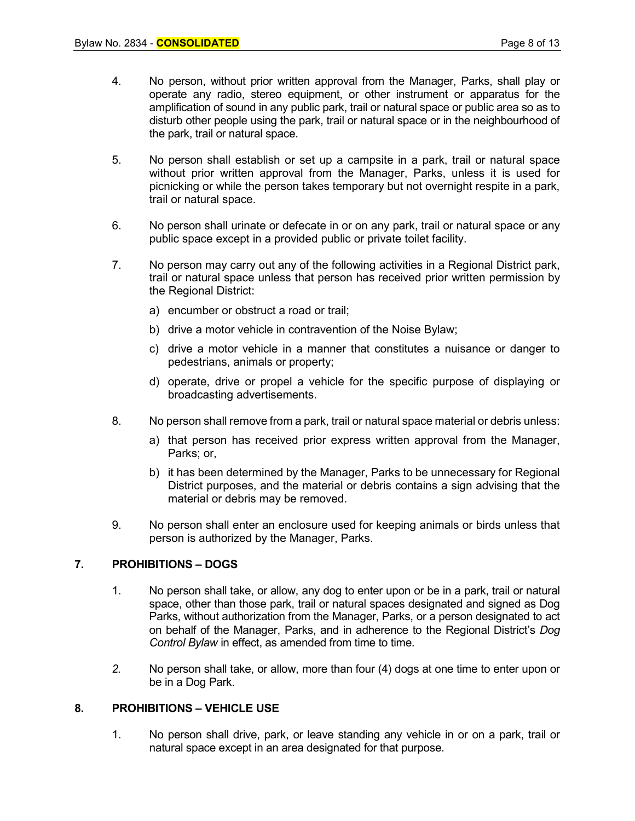- 4. No person, without prior written approval from the Manager, Parks, shall play or operate any radio, stereo equipment, or other instrument or apparatus for the amplification of sound in any public park, trail or natural space or public area so as to disturb other people using the park, trail or natural space or in the neighbourhood of the park, trail or natural space.
- 5. No person shall establish or set up a campsite in a park, trail or natural space without prior written approval from the Manager, Parks, unless it is used for picnicking or while the person takes temporary but not overnight respite in a park, trail or natural space.
- 6. No person shall urinate or defecate in or on any park, trail or natural space or any public space except in a provided public or private toilet facility.
- 7. No person may carry out any of the following activities in a Regional District park, trail or natural space unless that person has received prior written permission by the Regional District:
	- a) encumber or obstruct a road or trail;
	- b) drive a motor vehicle in contravention of the Noise Bylaw;
	- c) drive a motor vehicle in a manner that constitutes a nuisance or danger to pedestrians, animals or property;
	- d) operate, drive or propel a vehicle for the specific purpose of displaying or broadcasting advertisements.
- 8. No person shall remove from a park, trail or natural space material or debris unless:
	- a) that person has received prior express written approval from the Manager, Parks; or,
	- b) it has been determined by the Manager, Parks to be unnecessary for Regional District purposes, and the material or debris contains a sign advising that the material or debris may be removed.
- 9. No person shall enter an enclosure used for keeping animals or birds unless that person is authorized by the Manager, Parks.

## **7. PROHIBITIONS – DOGS**

- 1. No person shall take, or allow, any dog to enter upon or be in a park, trail or natural space, other than those park, trail or natural spaces designated and signed as Dog Parks, without authorization from the Manager, Parks, or a person designated to act on behalf of the Manager, Parks, and in adherence to the Regional District's *Dog Control Bylaw* in effect, as amended from time to time.
- *2.* No person shall take, or allow, more than four (4) dogs at one time to enter upon or be in a Dog Park.

## **8. PROHIBITIONS – VEHICLE USE**

1. No person shall drive, park, or leave standing any vehicle in or on a park, trail or natural space except in an area designated for that purpose.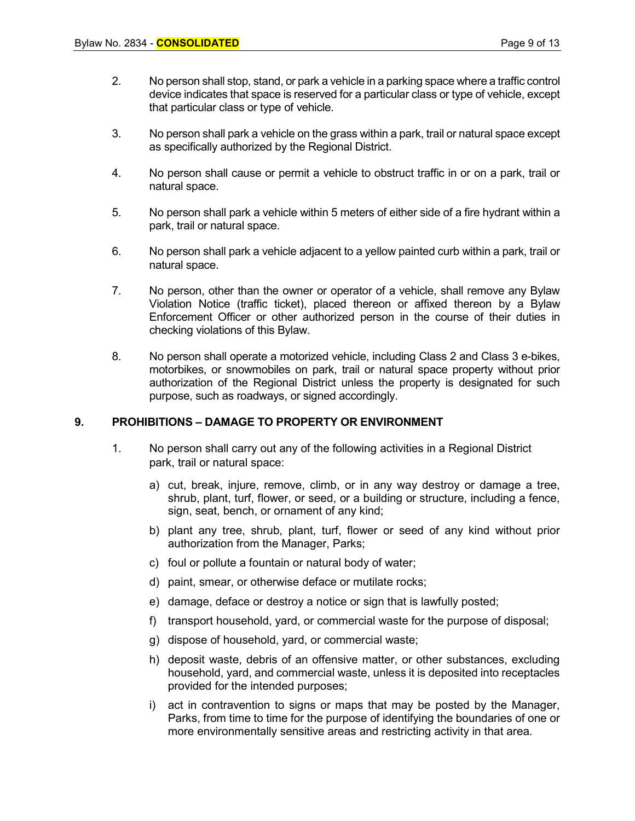- 2. No person shall stop, stand, or park a vehicle in a parking space where a traffic control device indicates that space is reserved for a particular class or type of vehicle, except that particular class or type of vehicle.
- 3. No person shall park a vehicle on the grass within a park, trail or natural space except as specifically authorized by the Regional District.
- 4. No person shall cause or permit a vehicle to obstruct traffic in or on a park, trail or natural space.
- 5. No person shall park a vehicle within 5 meters of either side of a fire hydrant within a park, trail or natural space.
- 6. No person shall park a vehicle adjacent to a yellow painted curb within a park, trail or natural space.
- 7. No person, other than the owner or operator of a vehicle, shall remove any Bylaw Violation Notice (traffic ticket), placed thereon or affixed thereon by a Bylaw Enforcement Officer or other authorized person in the course of their duties in checking violations of this Bylaw.
- 8. No person shall operate a motorized vehicle, including Class 2 and Class 3 e-bikes, motorbikes, or snowmobiles on park, trail or natural space property without prior authorization of the Regional District unless the property is designated for such purpose, such as roadways, or signed accordingly.

#### **9. PROHIBITIONS – DAMAGE TO PROPERTY OR ENVIRONMENT**

- 1. No person shall carry out any of the following activities in a Regional District park, trail or natural space:
	- a) cut, break, injure, remove, climb, or in any way destroy or damage a tree, shrub, plant, turf, flower, or seed, or a building or structure, including a fence, sign, seat, bench, or ornament of any kind;
	- b) plant any tree, shrub, plant, turf, flower or seed of any kind without prior authorization from the Manager, Parks;
	- c) foul or pollute a fountain or natural body of water;
	- d) paint, smear, or otherwise deface or mutilate rocks;
	- e) damage, deface or destroy a notice or sign that is lawfully posted;
	- f) transport household, yard, or commercial waste for the purpose of disposal;
	- g) dispose of household, yard, or commercial waste;
	- h) deposit waste, debris of an offensive matter, or other substances, excluding household, yard, and commercial waste, unless it is deposited into receptacles provided for the intended purposes;
	- i) act in contravention to signs or maps that may be posted by the Manager, Parks, from time to time for the purpose of identifying the boundaries of one or more environmentally sensitive areas and restricting activity in that area.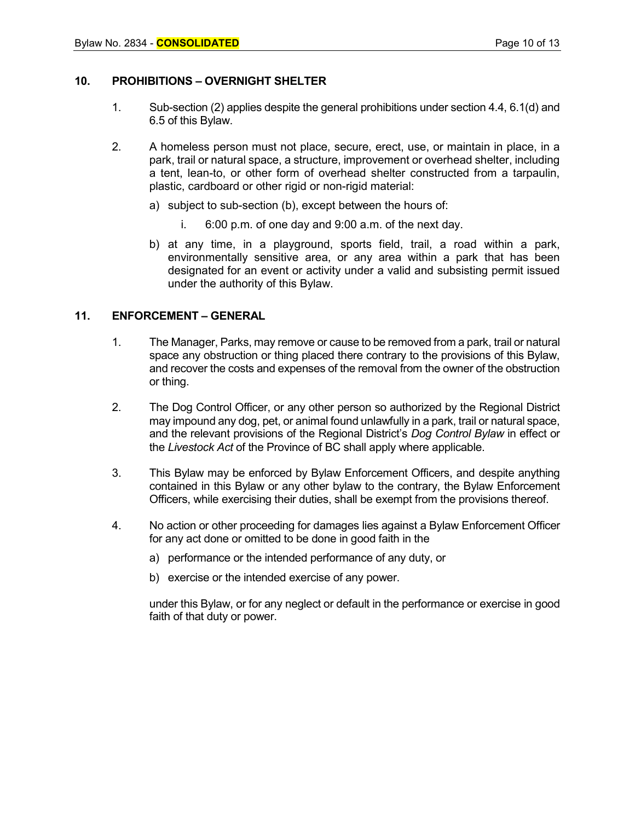## **10. PROHIBITIONS – OVERNIGHT SHELTER**

- 1. Sub-section (2) applies despite the general prohibitions under section 4.4, 6.1(d) and 6.5 of this Bylaw.
- 2. A homeless person must not place, secure, erect, use, or maintain in place, in a park, trail or natural space, a structure, improvement or overhead shelter, including a tent, lean-to, or other form of overhead shelter constructed from a tarpaulin, plastic, cardboard or other rigid or non-rigid material:
	- a) subject to sub-section (b), except between the hours of:
		- i. 6:00 p.m. of one day and 9:00 a.m. of the next day.
	- b) at any time, in a playground, sports field, trail, a road within a park, environmentally sensitive area, or any area within a park that has been designated for an event or activity under a valid and subsisting permit issued under the authority of this Bylaw.

#### **11. ENFORCEMENT – GENERAL**

- 1. The Manager, Parks, may remove or cause to be removed from a park, trail or natural space any obstruction or thing placed there contrary to the provisions of this Bylaw, and recover the costs and expenses of the removal from the owner of the obstruction or thing.
- 2. The Dog Control Officer, or any other person so authorized by the Regional District may impound any dog, pet, or animal found unlawfully in a park, trail or natural space, and the relevant provisions of the Regional District's *Dog Control Bylaw* in effect or the *Livestock Act* of the Province of BC shall apply where applicable.
- 3. This Bylaw may be enforced by Bylaw Enforcement Officers, and despite anything contained in this Bylaw or any other bylaw to the contrary, the Bylaw Enforcement Officers, while exercising their duties, shall be exempt from the provisions thereof.
- 4. No action or other proceeding for damages lies against a Bylaw Enforcement Officer for any act done or omitted to be done in good faith in the
	- a) performance or the intended performance of any duty, or
	- b) exercise or the intended exercise of any power.

under this Bylaw, or for any neglect or default in the performance or exercise in good faith of that duty or power.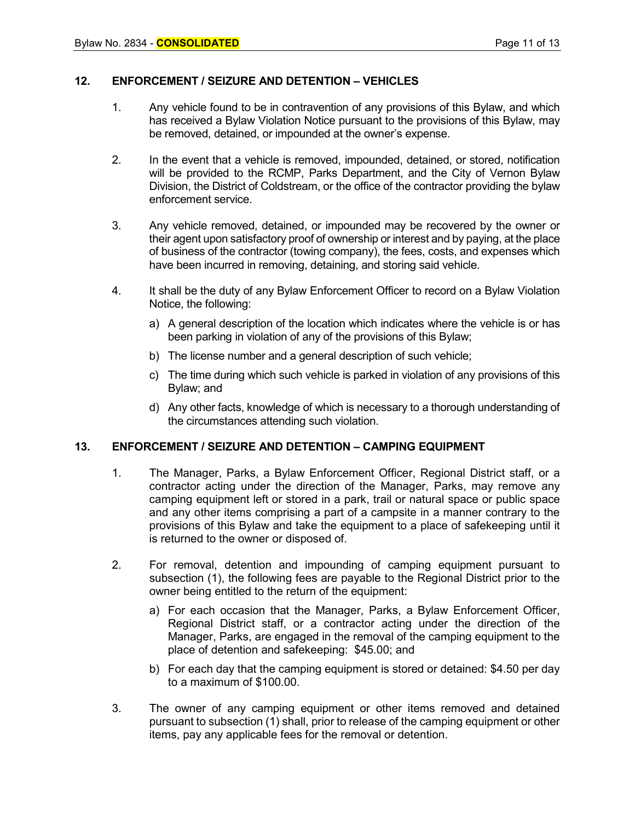## **12. ENFORCEMENT / SEIZURE AND DETENTION – VEHICLES**

- 1. Any vehicle found to be in contravention of any provisions of this Bylaw, and which has received a Bylaw Violation Notice pursuant to the provisions of this Bylaw, may be removed, detained, or impounded at the owner's expense.
- 2. In the event that a vehicle is removed, impounded, detained, or stored, notification will be provided to the RCMP, Parks Department, and the City of Vernon Bylaw Division, the District of Coldstream, or the office of the contractor providing the bylaw enforcement service.
- 3. Any vehicle removed, detained, or impounded may be recovered by the owner or their agent upon satisfactory proof of ownership or interest and by paying, at the place of business of the contractor (towing company), the fees, costs, and expenses which have been incurred in removing, detaining, and storing said vehicle.
- 4. It shall be the duty of any Bylaw Enforcement Officer to record on a Bylaw Violation Notice, the following:
	- a) A general description of the location which indicates where the vehicle is or has been parking in violation of any of the provisions of this Bylaw;
	- b) The license number and a general description of such vehicle;
	- c) The time during which such vehicle is parked in violation of any provisions of this Bylaw; and
	- d) Any other facts, knowledge of which is necessary to a thorough understanding of the circumstances attending such violation.

#### **13. ENFORCEMENT / SEIZURE AND DETENTION – CAMPING EQUIPMENT**

- 1. The Manager, Parks, a Bylaw Enforcement Officer, Regional District staff, or a contractor acting under the direction of the Manager, Parks, may remove any camping equipment left or stored in a park, trail or natural space or public space and any other items comprising a part of a campsite in a manner contrary to the provisions of this Bylaw and take the equipment to a place of safekeeping until it is returned to the owner or disposed of.
- 2. For removal, detention and impounding of camping equipment pursuant to subsection (1), the following fees are payable to the Regional District prior to the owner being entitled to the return of the equipment:
	- a) For each occasion that the Manager, Parks, a Bylaw Enforcement Officer, Regional District staff, or a contractor acting under the direction of the Manager, Parks, are engaged in the removal of the camping equipment to the place of detention and safekeeping: \$45.00; and
	- b) For each day that the camping equipment is stored or detained: \$4.50 per day to a maximum of \$100.00.
- 3. The owner of any camping equipment or other items removed and detained pursuant to subsection (1) shall, prior to release of the camping equipment or other items, pay any applicable fees for the removal or detention.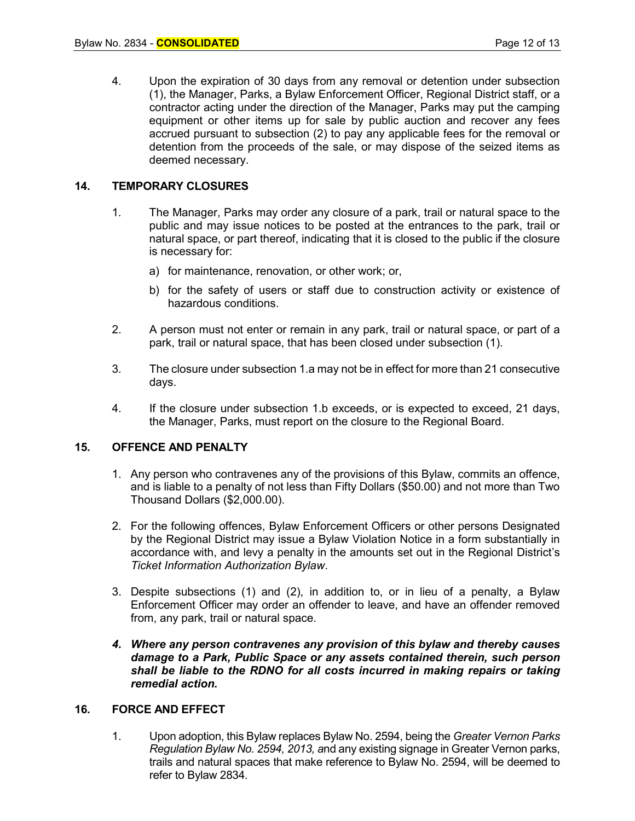4. Upon the expiration of 30 days from any removal or detention under subsection (1), the Manager, Parks, a Bylaw Enforcement Officer, Regional District staff, or a contractor acting under the direction of the Manager, Parks may put the camping equipment or other items up for sale by public auction and recover any fees accrued pursuant to subsection (2) to pay any applicable fees for the removal or detention from the proceeds of the sale, or may dispose of the seized items as deemed necessary.

## **14. TEMPORARY CLOSURES**

- 1. The Manager, Parks may order any closure of a park, trail or natural space to the public and may issue notices to be posted at the entrances to the park, trail or natural space, or part thereof, indicating that it is closed to the public if the closure is necessary for:
	- a) for maintenance, renovation, or other work; or,
	- b) for the safety of users or staff due to construction activity or existence of hazardous conditions.
- 2. A person must not enter or remain in any park, trail or natural space, or part of a park, trail or natural space, that has been closed under subsection (1).
- 3. The closure under subsection 1.a may not be in effect for more than 21 consecutive days.
- 4. If the closure under subsection 1.b exceeds, or is expected to exceed, 21 days, the Manager, Parks, must report on the closure to the Regional Board.

#### **15. OFFENCE AND PENALTY**

- 1. Any person who contravenes any of the provisions of this Bylaw, commits an offence, and is liable to a penalty of not less than Fifty Dollars (\$50.00) and not more than Two Thousand Dollars (\$2,000.00).
- 2. For the following offences, Bylaw Enforcement Officers or other persons Designated by the Regional District may issue a Bylaw Violation Notice in a form substantially in accordance with, and levy a penalty in the amounts set out in the Regional District's *Ticket Information Authorization Bylaw*.
- 3. Despite subsections (1) and (2), in addition to, or in lieu of a penalty, a Bylaw Enforcement Officer may order an offender to leave, and have an offender removed from, any park, trail or natural space.
- *4. Where any person contravenes any provision of this bylaw and thereby causes damage to a Park, Public Space or any assets contained therein, such person shall be liable to the RDNO for all costs incurred in making repairs or taking remedial action.*

#### **16. FORCE AND EFFECT**

1. Upon adoption, this Bylaw replaces Bylaw No. 2594, being the *Greater Vernon Parks Regulation Bylaw No. 2594, 2013, a*nd any existing signage in Greater Vernon parks, trails and natural spaces that make reference to Bylaw No. 2594, will be deemed to refer to Bylaw 2834.